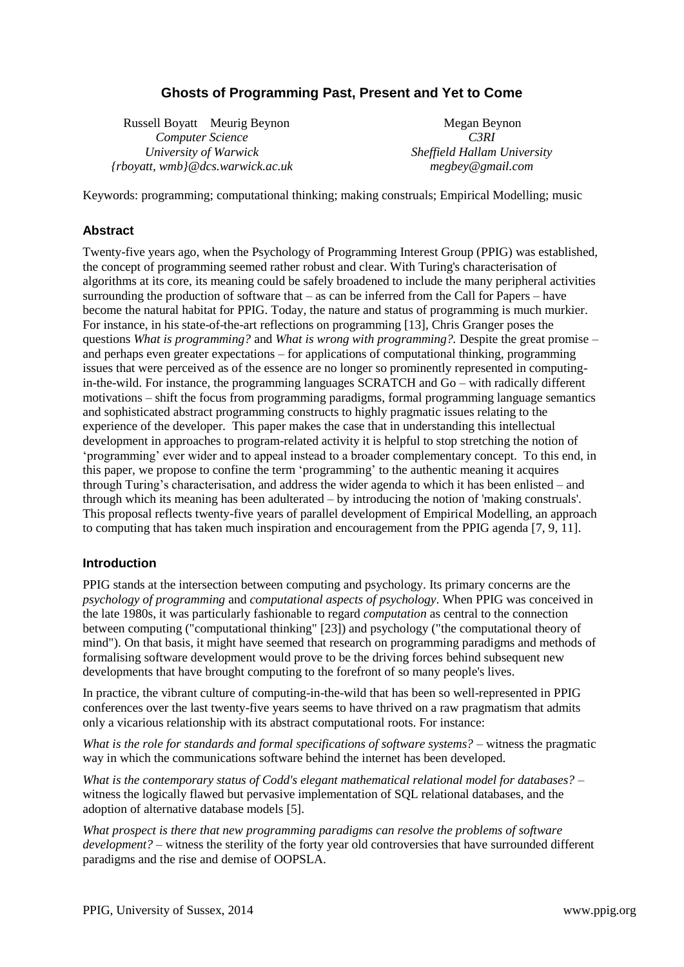# **Ghosts of Programming Past, Present and Yet to Come**

 Russell Boyatt Meurig Beynon *Computer Science University of Warwick {rboyatt, wmb}@dcs.warwick.ac.uk*

Megan Beynon *C3RI Sheffield Hallam University megbey@gmail.com*

Keywords: programming; computational thinking; making construals; Empirical Modelling; music

## **Abstract**

Twenty-five years ago, when the Psychology of Programming Interest Group (PPIG) was established, the concept of programming seemed rather robust and clear. With Turing's characterisation of algorithms at its core, its meaning could be safely broadened to include the many peripheral activities surrounding the production of software that – as can be inferred from the Call for Papers – have become the natural habitat for PPIG. Today, the nature and status of programming is much murkier. For instance, in his state-of-the-art reflections on programming [13], Chris Granger poses the questions *What is programming?* and *What is wrong with programming?.* Despite the great promise – and perhaps even greater expectations – for applications of computational thinking, programming issues that were perceived as of the essence are no longer so prominently represented in computingin-the-wild. For instance, the programming languages SCRATCH and Go – with radically different motivations – shift the focus from programming paradigms, formal programming language semantics and sophisticated abstract programming constructs to highly pragmatic issues relating to the experience of the developer. This paper makes the case that in understanding this intellectual development in approaches to program-related activity it is helpful to stop stretching the notion of 'programming' ever wider and to appeal instead to a broader complementary concept. To this end, in this paper, we propose to confine the term 'programming' to the authentic meaning it acquires through Turing's characterisation, and address the wider agenda to which it has been enlisted – and through which its meaning has been adulterated – by introducing the notion of 'making construals'. This proposal reflects twenty-five years of parallel development of Empirical Modelling, an approach to computing that has taken much inspiration and encouragement from the PPIG agenda [7, 9, 11].

#### **Introduction**

PPIG stands at the intersection between computing and psychology. Its primary concerns are the *psychology of programming* and *computational aspects of psychology*. When PPIG was conceived in the late 1980s, it was particularly fashionable to regard *computation* as central to the connection between computing ("computational thinking" [23]) and psychology ("the computational theory of mind"). On that basis, it might have seemed that research on programming paradigms and methods of formalising software development would prove to be the driving forces behind subsequent new developments that have brought computing to the forefront of so many people's lives.

In practice, the vibrant culture of computing-in-the-wild that has been so well-represented in PPIG conferences over the last twenty-five years seems to have thrived on a raw pragmatism that admits only a vicarious relationship with its abstract computational roots. For instance:

*What is the role for standards and formal specifications of software systems?* – witness the pragmatic way in which the communications software behind the internet has been developed.

*What is the contemporary status of Codd's elegant mathematical relational model for databases?* – witness the logically flawed but pervasive implementation of SQL relational databases, and the adoption of alternative database models [5].

*What prospect is there that new programming paradigms can resolve the problems of software development?* – witness the sterility of the forty year old controversies that have surrounded different paradigms and the rise and demise of OOPSLA.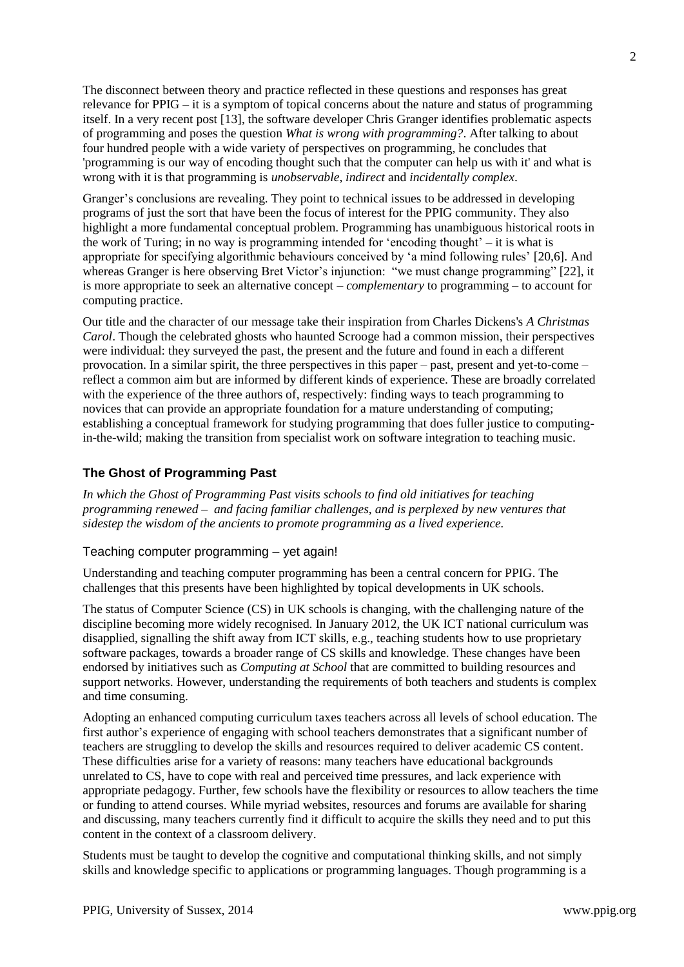The disconnect between theory and practice reflected in these questions and responses has great relevance for PPIG – it is a symptom of topical concerns about the nature and status of programming itself. In a very recent post [13], the software developer Chris Granger identifies problematic aspects of programming and poses the question *What is wrong with programming?*. After talking to about four hundred people with a wide variety of perspectives on programming, he concludes that 'programming is our way of encoding thought such that the computer can help us with it' and what is wrong with it is that programming is *unobservable*, *indirect* and *incidentally complex*.

Granger's conclusions are revealing. They point to technical issues to be addressed in developing programs of just the sort that have been the focus of interest for the PPIG community. They also highlight a more fundamental conceptual problem. Programming has unambiguous historical roots in the work of Turing; in no way is programming intended for 'encoding thought' – it is what is appropriate for specifying algorithmic behaviours conceived by 'a mind following rules' [20,6]. And whereas Granger is here observing Bret Victor's injunction: "we must change programming" [22], it is more appropriate to seek an alternative concept – *complementary* to programming – to account for computing practice.

Our title and the character of our message take their inspiration from Charles Dickens's *A Christmas Carol*. Though the celebrated ghosts who haunted Scrooge had a common mission, their perspectives were individual: they surveyed the past, the present and the future and found in each a different provocation. In a similar spirit, the three perspectives in this paper – past, present and yet-to-come – reflect a common aim but are informed by different kinds of experience. These are broadly correlated with the experience of the three authors of, respectively: finding ways to teach programming to novices that can provide an appropriate foundation for a mature understanding of computing; establishing a conceptual framework for studying programming that does fuller justice to computingin-the-wild; making the transition from specialist work on software integration to teaching music.

### **The Ghost of Programming Past**

*In which the Ghost of Programming Past visits schools to find old initiatives for teaching programming renewed – and facing familiar challenges, and is perplexed by new ventures that sidestep the wisdom of the ancients to promote programming as a lived experience.*

#### Teaching computer programming – yet again!

Understanding and teaching computer programming has been a central concern for PPIG. The challenges that this presents have been highlighted by topical developments in UK schools.

The status of Computer Science (CS) in UK schools is changing, with the challenging nature of the discipline becoming more widely recognised. In January 2012, the UK ICT national curriculum was disapplied, signalling the shift away from ICT skills, e.g., teaching students how to use proprietary software packages, towards a broader range of CS skills and knowledge. These changes have been endorsed by initiatives such as *Computing at School* that are committed to building resources and support networks. However, understanding the requirements of both teachers and students is complex and time consuming.

Adopting an enhanced computing curriculum taxes teachers across all levels of school education. The first author's experience of engaging with school teachers demonstrates that a significant number of teachers are struggling to develop the skills and resources required to deliver academic CS content. These difficulties arise for a variety of reasons: many teachers have educational backgrounds unrelated to CS, have to cope with real and perceived time pressures, and lack experience with appropriate pedagogy. Further, few schools have the flexibility or resources to allow teachers the time or funding to attend courses. While myriad websites, resources and forums are available for sharing and discussing, many teachers currently find it difficult to acquire the skills they need and to put this content in the context of a classroom delivery.

Students must be taught to develop the cognitive and computational thinking skills, and not simply skills and knowledge specific to applications or programming languages. Though programming is a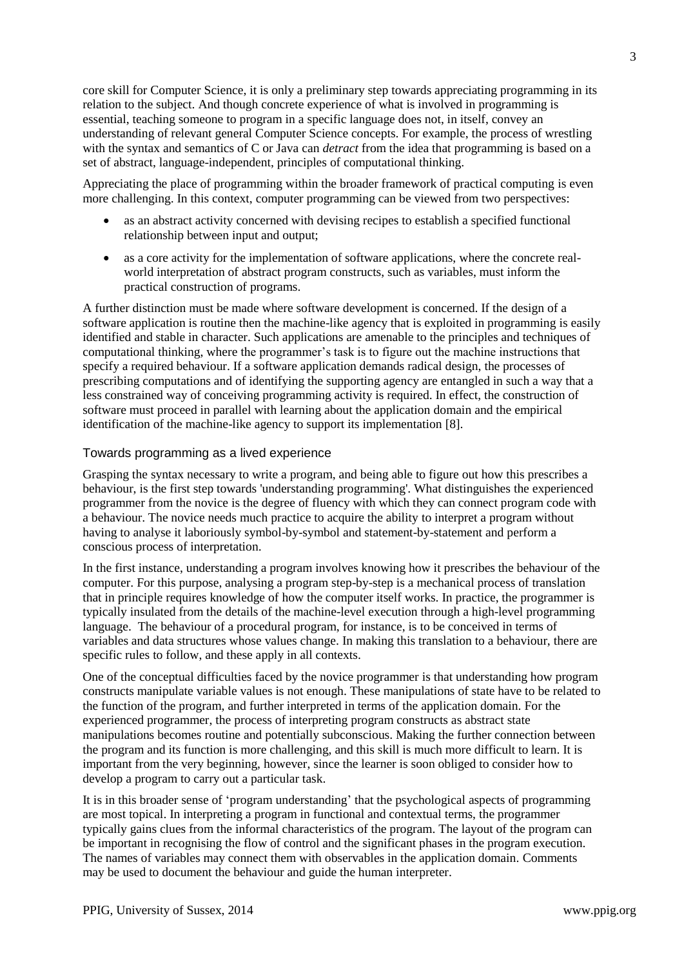core skill for Computer Science, it is only a preliminary step towards appreciating programming in its relation to the subject. And though concrete experience of what is involved in programming is essential, teaching someone to program in a specific language does not, in itself, convey an understanding of relevant general Computer Science concepts. For example, the process of wrestling with the syntax and semantics of C or Java can *detract* from the idea that programming is based on a set of abstract, language-independent, principles of computational thinking.

Appreciating the place of programming within the broader framework of practical computing is even more challenging. In this context, computer programming can be viewed from two perspectives:

- as an abstract activity concerned with devising recipes to establish a specified functional relationship between input and output;
- as a core activity for the implementation of software applications, where the concrete realworld interpretation of abstract program constructs, such as variables, must inform the practical construction of programs.

A further distinction must be made where software development is concerned. If the design of a software application is routine then the machine-like agency that is exploited in programming is easily identified and stable in character. Such applications are amenable to the principles and techniques of computational thinking, where the programmer's task is to figure out the machine instructions that specify a required behaviour. If a software application demands radical design, the processes of prescribing computations and of identifying the supporting agency are entangled in such a way that a less constrained way of conceiving programming activity is required. In effect, the construction of software must proceed in parallel with learning about the application domain and the empirical identification of the machine-like agency to support its implementation [8].

#### Towards programming as a lived experience

Grasping the syntax necessary to write a program, and being able to figure out how this prescribes a behaviour, is the first step towards 'understanding programming'. What distinguishes the experienced programmer from the novice is the degree of fluency with which they can connect program code with a behaviour. The novice needs much practice to acquire the ability to interpret a program without having to analyse it laboriously symbol-by-symbol and statement-by-statement and perform a conscious process of interpretation.

In the first instance, understanding a program involves knowing how it prescribes the behaviour of the computer. For this purpose, analysing a program step-by-step is a mechanical process of translation that in principle requires knowledge of how the computer itself works. In practice, the programmer is typically insulated from the details of the machine-level execution through a high-level programming language. The behaviour of a procedural program, for instance, is to be conceived in terms of variables and data structures whose values change. In making this translation to a behaviour, there are specific rules to follow, and these apply in all contexts.

One of the conceptual difficulties faced by the novice programmer is that understanding how program constructs manipulate variable values is not enough. These manipulations of state have to be related to the function of the program, and further interpreted in terms of the application domain. For the experienced programmer, the process of interpreting program constructs as abstract state manipulations becomes routine and potentially subconscious. Making the further connection between the program and its function is more challenging, and this skill is much more difficult to learn. It is important from the very beginning, however, since the learner is soon obliged to consider how to develop a program to carry out a particular task.

It is in this broader sense of 'program understanding' that the psychological aspects of programming are most topical. In interpreting a program in functional and contextual terms, the programmer typically gains clues from the informal characteristics of the program. The layout of the program can be important in recognising the flow of control and the significant phases in the program execution. The names of variables may connect them with observables in the application domain. Comments may be used to document the behaviour and guide the human interpreter.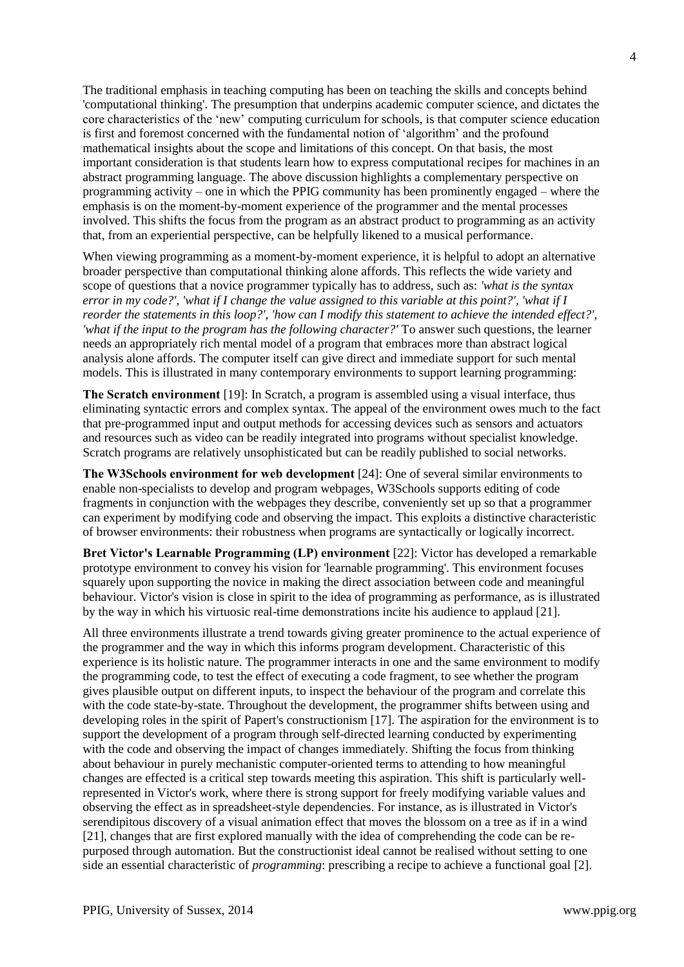The traditional emphasis in teaching computing has been on teaching the skills and concepts behind 'computational thinking'. The presumption that underpins academic computer science, and dictates the core characteristics of the 'new' computing curriculum for schools, is that computer science education is first and foremost concerned with the fundamental notion of 'algorithm' and the profound mathematical insights about the scope and limitations of this concept. On that basis, the most important consideration is that students learn how to express computational recipes for machines in an abstract programming language. The above discussion highlights a complementary perspective on programming activity – one in which the PPIG community has been prominently engaged – where the emphasis is on the moment-by-moment experience of the programmer and the mental processes involved. This shifts the focus from the program as an abstract product to programming as an activity that, from an experiential perspective, can be helpfully likened to a musical performance.

When viewing programming as a moment-by-moment experience, it is helpful to adopt an alternative broader perspective than computational thinking alone affords. This reflects the wide variety and scope of questions that a novice programmer typically has to address, such as: *'what is the syntax error in my code?', 'what if I change the value assigned to this variable at this point?', 'what if I reorder the statements in this loop?', 'how can I modify this statement to achieve the intended effect?', 'what if the input to the program has the following character?'* To answer such questions, the learner needs an appropriately rich mental model of a program that embraces more than abstract logical analysis alone affords. The computer itself can give direct and immediate support for such mental models. This is illustrated in many contemporary environments to support learning programming:

**The Scratch environment** [19]: In Scratch, a program is assembled using a visual interface, thus eliminating syntactic errors and complex syntax. The appeal of the environment owes much to the fact that pre-programmed input and output methods for accessing devices such as sensors and actuators and resources such as video can be readily integrated into programs without specialist knowledge. Scratch programs are relatively unsophisticated but can be readily published to social networks.

**The W3Schools environment for web development** [24]: One of several similar environments to enable non-specialists to develop and program webpages, W3Schools supports editing of code fragments in conjunction with the webpages they describe, conveniently set up so that a programmer can experiment by modifying code and observing the impact. This exploits a distinctive characteristic of browser environments: their robustness when programs are syntactically or logically incorrect.

**Bret Victor's Learnable Programming (LP) environment** [22]: Victor has developed a remarkable prototype environment to convey his vision for 'learnable programming'. This environment focuses squarely upon supporting the novice in making the direct association between code and meaningful behaviour. Victor's vision is close in spirit to the idea of programming as performance, as is illustrated by the way in which his virtuosic real-time demonstrations incite his audience to applaud [21].

All three environments illustrate a trend towards giving greater prominence to the actual experience of the programmer and the way in which this informs program development. Characteristic of this experience is its holistic nature. The programmer interacts in one and the same environment to modify the programming code, to test the effect of executing a code fragment, to see whether the program gives plausible output on different inputs, to inspect the behaviour of the program and correlate this with the code state-by-state. Throughout the development, the programmer shifts between using and developing roles in the spirit of Papert's constructionism [17]. The aspiration for the environment is to support the development of a program through self-directed learning conducted by experimenting with the code and observing the impact of changes immediately. Shifting the focus from thinking about behaviour in purely mechanistic computer-oriented terms to attending to how meaningful changes are effected is a critical step towards meeting this aspiration. This shift is particularly wellrepresented in Victor's work, where there is strong support for freely modifying variable values and observing the effect as in spreadsheet-style dependencies. For instance, as is illustrated in Victor's serendipitous discovery of a visual animation effect that moves the blossom on a tree as if in a wind [21], changes that are first explored manually with the idea of comprehending the code can be repurposed through automation. But the constructionist ideal cannot be realised without setting to one side an essential characteristic of *programming*: prescribing a recipe to achieve a functional goal [2].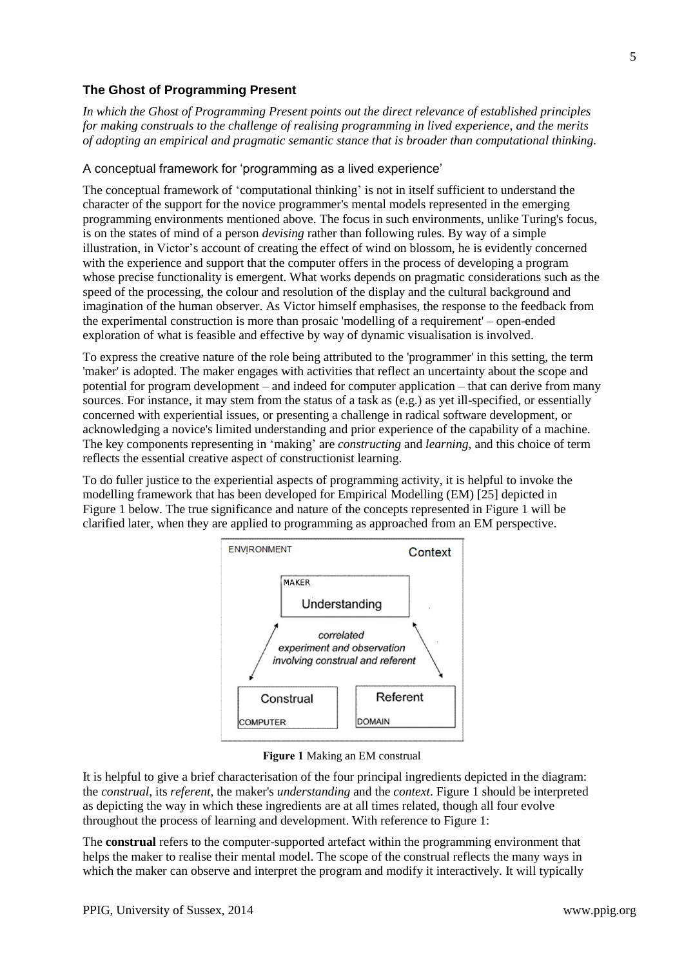# **The Ghost of Programming Present**

*In which the Ghost of Programming Present points out the direct relevance of established principles for making construals to the challenge of realising programming in lived experience, and the merits of adopting an empirical and pragmatic semantic stance that is broader than computational thinking.*

#### A conceptual framework for 'programming as a lived experience'

The conceptual framework of 'computational thinking' is not in itself sufficient to understand the character of the support for the novice programmer's mental models represented in the emerging programming environments mentioned above. The focus in such environments, unlike Turing's focus, is on the states of mind of a person *devising* rather than following rules. By way of a simple illustration, in Victor's account of creating the effect of wind on blossom, he is evidently concerned with the experience and support that the computer offers in the process of developing a program whose precise functionality is emergent. What works depends on pragmatic considerations such as the speed of the processing, the colour and resolution of the display and the cultural background and imagination of the human observer. As Victor himself emphasises, the response to the feedback from the experimental construction is more than prosaic 'modelling of a requirement' – open-ended exploration of what is feasible and effective by way of dynamic visualisation is involved.

To express the creative nature of the role being attributed to the 'programmer' in this setting, the term 'maker' is adopted. The maker engages with activities that reflect an uncertainty about the scope and potential for program development – and indeed for computer application – that can derive from many sources. For instance, it may stem from the status of a task as (e.g.) as yet ill-specified, or essentially concerned with experiential issues, or presenting a challenge in radical software development, or acknowledging a novice's limited understanding and prior experience of the capability of a machine. The key components representing in 'making' are *constructing* and *learning*, and this choice of term reflects the essential creative aspect of constructionist learning.

To do fuller justice to the experiential aspects of programming activity, it is helpful to invoke the modelling framework that has been developed for Empirical Modelling (EM) [25] depicted in Figure 1 below. The true significance and nature of the concepts represented in Figure 1 will be clarified later, when they are applied to programming as approached from an EM perspective.



#### **Figure 1** Making an EM construal

It is helpful to give a brief characterisation of the four principal ingredients depicted in the diagram: the *construal*, its *referent*, the maker's *understanding* and the *context*. Figure 1 should be interpreted as depicting the way in which these ingredients are at all times related, though all four evolve throughout the process of learning and development. With reference to Figure 1:

The **construal** refers to the computer-supported artefact within the programming environment that helps the maker to realise their mental model. The scope of the construal reflects the many ways in which the maker can observe and interpret the program and modify it interactively. It will typically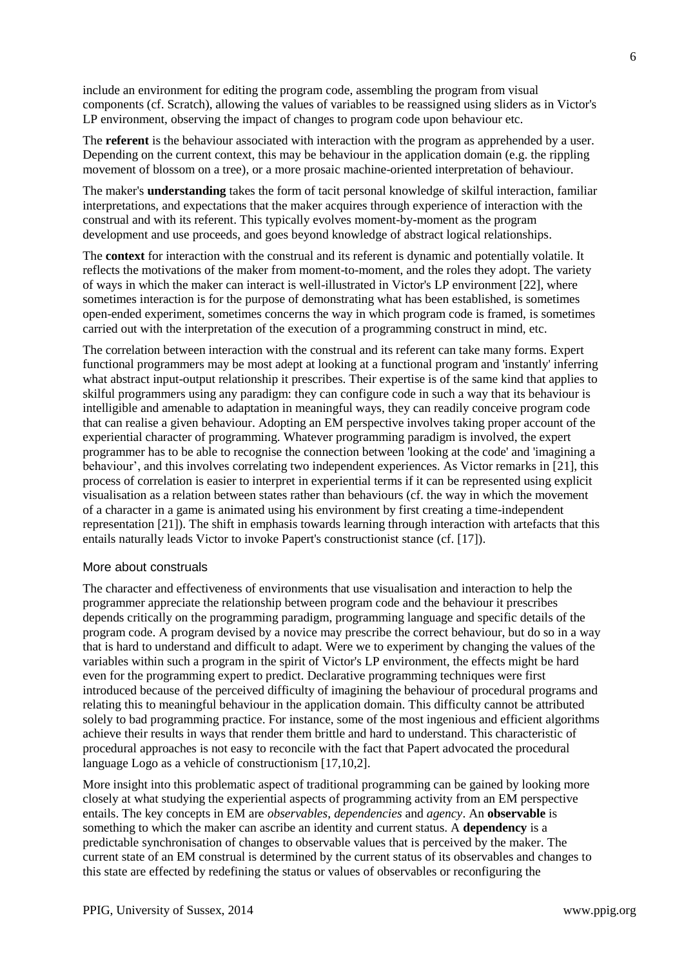include an environment for editing the program code, assembling the program from visual components (cf. Scratch), allowing the values of variables to be reassigned using sliders as in Victor's LP environment, observing the impact of changes to program code upon behaviour etc.

The **referent** is the behaviour associated with interaction with the program as apprehended by a user. Depending on the current context, this may be behaviour in the application domain (e.g. the rippling movement of blossom on a tree), or a more prosaic machine-oriented interpretation of behaviour.

The maker's **understanding** takes the form of tacit personal knowledge of skilful interaction, familiar interpretations, and expectations that the maker acquires through experience of interaction with the construal and with its referent. This typically evolves moment-by-moment as the program development and use proceeds, and goes beyond knowledge of abstract logical relationships.

The **context** for interaction with the construal and its referent is dynamic and potentially volatile. It reflects the motivations of the maker from moment-to-moment, and the roles they adopt. The variety of ways in which the maker can interact is well-illustrated in Victor's LP environment [22], where sometimes interaction is for the purpose of demonstrating what has been established, is sometimes open-ended experiment, sometimes concerns the way in which program code is framed, is sometimes carried out with the interpretation of the execution of a programming construct in mind, etc.

The correlation between interaction with the construal and its referent can take many forms. Expert functional programmers may be most adept at looking at a functional program and 'instantly' inferring what abstract input-output relationship it prescribes. Their expertise is of the same kind that applies to skilful programmers using any paradigm: they can configure code in such a way that its behaviour is intelligible and amenable to adaptation in meaningful ways, they can readily conceive program code that can realise a given behaviour. Adopting an EM perspective involves taking proper account of the experiential character of programming. Whatever programming paradigm is involved, the expert programmer has to be able to recognise the connection between 'looking at the code' and 'imagining a behaviour', and this involves correlating two independent experiences. As Victor remarks in [21], this process of correlation is easier to interpret in experiential terms if it can be represented using explicit visualisation as a relation between states rather than behaviours (cf. the way in which the movement of a character in a game is animated using his environment by first creating a time-independent representation [21]). The shift in emphasis towards learning through interaction with artefacts that this entails naturally leads Victor to invoke Papert's constructionist stance (cf. [17]).

#### More about construals

The character and effectiveness of environments that use visualisation and interaction to help the programmer appreciate the relationship between program code and the behaviour it prescribes depends critically on the programming paradigm, programming language and specific details of the program code. A program devised by a novice may prescribe the correct behaviour, but do so in a way that is hard to understand and difficult to adapt. Were we to experiment by changing the values of the variables within such a program in the spirit of Victor's LP environment, the effects might be hard even for the programming expert to predict. Declarative programming techniques were first introduced because of the perceived difficulty of imagining the behaviour of procedural programs and relating this to meaningful behaviour in the application domain. This difficulty cannot be attributed solely to bad programming practice. For instance, some of the most ingenious and efficient algorithms achieve their results in ways that render them brittle and hard to understand. This characteristic of procedural approaches is not easy to reconcile with the fact that Papert advocated the procedural language Logo as a vehicle of constructionism [17,10,2].

More insight into this problematic aspect of traditional programming can be gained by looking more closely at what studying the experiential aspects of programming activity from an EM perspective entails. The key concepts in EM are *observables*, *dependencies* and *agency*. An **observable** is something to which the maker can ascribe an identity and current status. A **dependency** is a predictable synchronisation of changes to observable values that is perceived by the maker. The current state of an EM construal is determined by the current status of its observables and changes to this state are effected by redefining the status or values of observables or reconfiguring the

6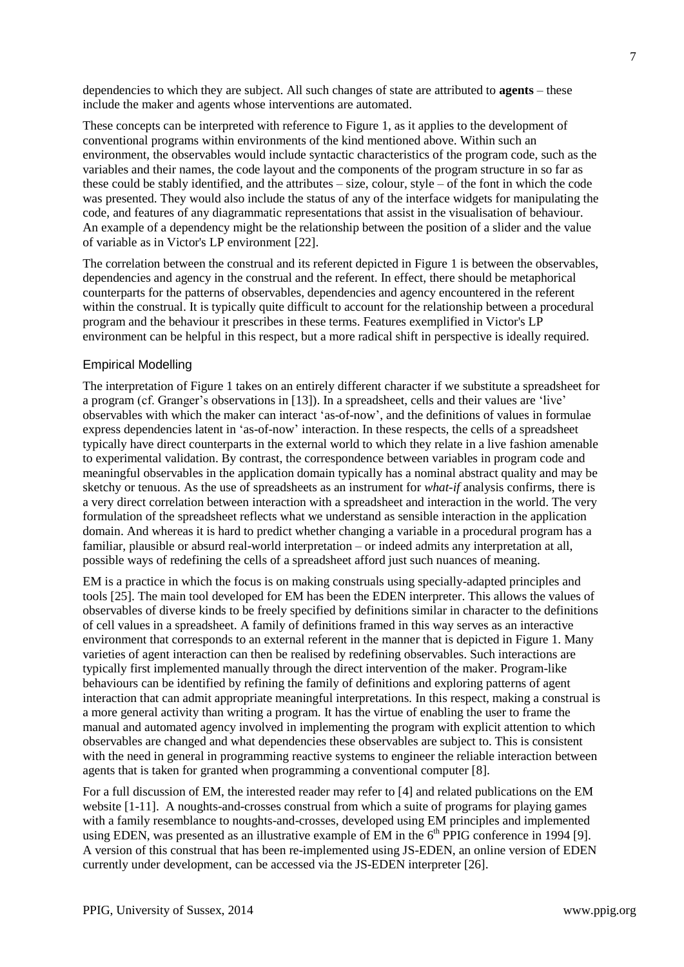dependencies to which they are subject. All such changes of state are attributed to **agents** – these include the maker and agents whose interventions are automated.

These concepts can be interpreted with reference to Figure 1, as it applies to the development of conventional programs within environments of the kind mentioned above. Within such an environment, the observables would include syntactic characteristics of the program code, such as the variables and their names, the code layout and the components of the program structure in so far as these could be stably identified, and the attributes – size, colour, style – of the font in which the code was presented. They would also include the status of any of the interface widgets for manipulating the code, and features of any diagrammatic representations that assist in the visualisation of behaviour. An example of a dependency might be the relationship between the position of a slider and the value of variable as in Victor's LP environment [22].

The correlation between the construal and its referent depicted in Figure 1 is between the observables, dependencies and agency in the construal and the referent. In effect, there should be metaphorical counterparts for the patterns of observables, dependencies and agency encountered in the referent within the construal. It is typically quite difficult to account for the relationship between a procedural program and the behaviour it prescribes in these terms. Features exemplified in Victor's LP environment can be helpful in this respect, but a more radical shift in perspective is ideally required.

#### Empirical Modelling

The interpretation of Figure 1 takes on an entirely different character if we substitute a spreadsheet for a program (cf. Granger's observations in [13]). In a spreadsheet, cells and their values are 'live' observables with which the maker can interact 'as-of-now', and the definitions of values in formulae express dependencies latent in 'as-of-now' interaction. In these respects, the cells of a spreadsheet typically have direct counterparts in the external world to which they relate in a live fashion amenable to experimental validation. By contrast, the correspondence between variables in program code and meaningful observables in the application domain typically has a nominal abstract quality and may be sketchy or tenuous. As the use of spreadsheets as an instrument for *what-if* analysis confirms, there is a very direct correlation between interaction with a spreadsheet and interaction in the world. The very formulation of the spreadsheet reflects what we understand as sensible interaction in the application domain. And whereas it is hard to predict whether changing a variable in a procedural program has a familiar, plausible or absurd real-world interpretation – or indeed admits any interpretation at all, possible ways of redefining the cells of a spreadsheet afford just such nuances of meaning.

EM is a practice in which the focus is on making construals using specially-adapted principles and tools [25]. The main tool developed for EM has been the EDEN interpreter. This allows the values of observables of diverse kinds to be freely specified by definitions similar in character to the definitions of cell values in a spreadsheet. A family of definitions framed in this way serves as an interactive environment that corresponds to an external referent in the manner that is depicted in Figure 1. Many varieties of agent interaction can then be realised by redefining observables. Such interactions are typically first implemented manually through the direct intervention of the maker. Program-like behaviours can be identified by refining the family of definitions and exploring patterns of agent interaction that can admit appropriate meaningful interpretations. In this respect, making a construal is a more general activity than writing a program. It has the virtue of enabling the user to frame the manual and automated agency involved in implementing the program with explicit attention to which observables are changed and what dependencies these observables are subject to. This is consistent with the need in general in programming reactive systems to engineer the reliable interaction between agents that is taken for granted when programming a conventional computer [8].

For a full discussion of EM, the interested reader may refer to [4] and related publications on the EM website [1-11]. A noughts-and-crosses construal from which a suite of programs for playing games with a family resemblance to noughts-and-crosses, developed using EM principles and implemented using EDEN, was presented as an illustrative example of  $\overline{EM}$  in the  $6<sup>th</sup>$  PPIG conference in 1994 [9]. A version of this construal that has been re-implemented using JS-EDEN, an online version of EDEN currently under development, can be accessed via the JS-EDEN interpreter [26].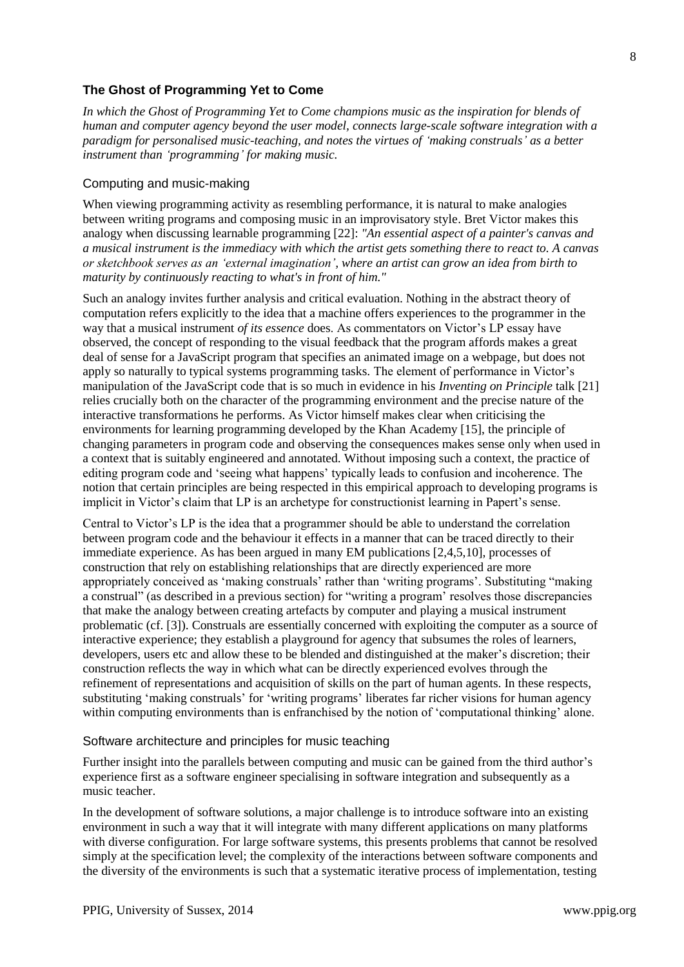# **The Ghost of Programming Yet to Come**

*In which the Ghost of Programming Yet to Come champions music as the inspiration for blends of human and computer agency beyond the user model, connects large-scale software integration with a paradigm for personalised music-teaching, and notes the virtues of 'making construals' as a better instrument than 'programming' for making music.*

### Computing and music-making

When viewing programming activity as resembling performance, it is natural to make analogies between writing programs and composing music in an improvisatory style. Bret Victor makes this analogy when discussing learnable programming [22]: *"An essential aspect of a painter's canvas and a musical instrument is the immediacy with which the artist gets something there to react to. A canvas or sketchbook serves as an 'external imagination', where an artist can grow an idea from birth to maturity by continuously reacting to what's in front of him."*

Such an analogy invites further analysis and critical evaluation. Nothing in the abstract theory of computation refers explicitly to the idea that a machine offers experiences to the programmer in the way that a musical instrument *of its essence* does. As commentators on Victor's LP essay have observed, the concept of responding to the visual feedback that the program affords makes a great deal of sense for a JavaScript program that specifies an animated image on a webpage, but does not apply so naturally to typical systems programming tasks. The element of performance in Victor's manipulation of the JavaScript code that is so much in evidence in his *Inventing on Principle* talk [21] relies crucially both on the character of the programming environment and the precise nature of the interactive transformations he performs. As Victor himself makes clear when criticising the environments for learning programming developed by the Khan Academy [15], the principle of changing parameters in program code and observing the consequences makes sense only when used in a context that is suitably engineered and annotated. Without imposing such a context, the practice of editing program code and 'seeing what happens' typically leads to confusion and incoherence. The notion that certain principles are being respected in this empirical approach to developing programs is implicit in Victor's claim that LP is an archetype for constructionist learning in Papert's sense.

Central to Victor's LP is the idea that a programmer should be able to understand the correlation between program code and the behaviour it effects in a manner that can be traced directly to their immediate experience. As has been argued in many EM publications [2,4,5,10], processes of construction that rely on establishing relationships that are directly experienced are more appropriately conceived as 'making construals' rather than 'writing programs'. Substituting "making a construal" (as described in a previous section) for "writing a program' resolves those discrepancies that make the analogy between creating artefacts by computer and playing a musical instrument problematic (cf. [3]). Construals are essentially concerned with exploiting the computer as a source of interactive experience; they establish a playground for agency that subsumes the roles of learners, developers, users etc and allow these to be blended and distinguished at the maker's discretion; their construction reflects the way in which what can be directly experienced evolves through the refinement of representations and acquisition of skills on the part of human agents. In these respects, substituting 'making construals' for 'writing programs' liberates far richer visions for human agency within computing environments than is enfranchised by the notion of 'computational thinking' alone.

#### Software architecture and principles for music teaching

Further insight into the parallels between computing and music can be gained from the third author's experience first as a software engineer specialising in software integration and subsequently as a music teacher.

In the development of software solutions, a major challenge is to introduce software into an existing environment in such a way that it will integrate with many different applications on many platforms with diverse configuration. For large software systems, this presents problems that cannot be resolved simply at the specification level; the complexity of the interactions between software components and the diversity of the environments is such that a systematic iterative process of implementation, testing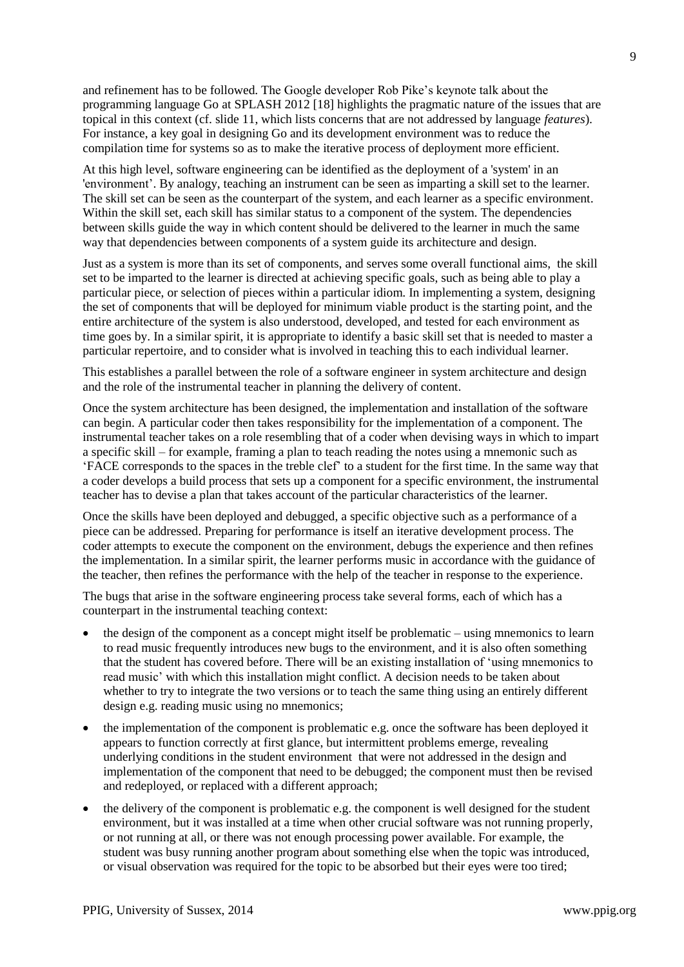and refinement has to be followed. The Google developer Rob Pike's keynote talk about the programming language Go at SPLASH 2012 [18] highlights the pragmatic nature of the issues that are topical in this context (cf. slide 11, which lists concerns that are not addressed by language *features*). For instance, a key goal in designing Go and its development environment was to reduce the compilation time for systems so as to make the iterative process of deployment more efficient.

At this high level, software engineering can be identified as the deployment of a 'system' in an 'environment'. By analogy, teaching an instrument can be seen as imparting a skill set to the learner. The skill set can be seen as the counterpart of the system, and each learner as a specific environment. Within the skill set, each skill has similar status to a component of the system. The dependencies between skills guide the way in which content should be delivered to the learner in much the same way that dependencies between components of a system guide its architecture and design.

Just as a system is more than its set of components, and serves some overall functional aims, the skill set to be imparted to the learner is directed at achieving specific goals, such as being able to play a particular piece, or selection of pieces within a particular idiom. In implementing a system, designing the set of components that will be deployed for minimum viable product is the starting point, and the entire architecture of the system is also understood, developed, and tested for each environment as time goes by. In a similar spirit, it is appropriate to identify a basic skill set that is needed to master a particular repertoire, and to consider what is involved in teaching this to each individual learner.

This establishes a parallel between the role of a software engineer in system architecture and design and the role of the instrumental teacher in planning the delivery of content.

Once the system architecture has been designed, the implementation and installation of the software can begin. A particular coder then takes responsibility for the implementation of a component. The instrumental teacher takes on a role resembling that of a coder when devising ways in which to impart a specific skill – for example, framing a plan to teach reading the notes using a mnemonic such as 'FACE corresponds to the spaces in the treble clef' to a student for the first time. In the same way that a coder develops a build process that sets up a component for a specific environment, the instrumental teacher has to devise a plan that takes account of the particular characteristics of the learner.

Once the skills have been deployed and debugged, a specific objective such as a performance of a piece can be addressed. Preparing for performance is itself an iterative development process. The coder attempts to execute the component on the environment, debugs the experience and then refines the implementation. In a similar spirit, the learner performs music in accordance with the guidance of the teacher, then refines the performance with the help of the teacher in response to the experience.

The bugs that arise in the software engineering process take several forms, each of which has a counterpart in the instrumental teaching context:

- the design of the component as a concept might itself be problematic using mnemonics to learn to read music frequently introduces new bugs to the environment, and it is also often something that the student has covered before. There will be an existing installation of 'using mnemonics to read music' with which this installation might conflict. A decision needs to be taken about whether to try to integrate the two versions or to teach the same thing using an entirely different design e.g. reading music using no mnemonics;
- the implementation of the component is problematic e.g. once the software has been deployed it appears to function correctly at first glance, but intermittent problems emerge, revealing underlying conditions in the student environment that were not addressed in the design and implementation of the component that need to be debugged; the component must then be revised and redeployed, or replaced with a different approach;
- the delivery of the component is problematic e.g. the component is well designed for the student environment, but it was installed at a time when other crucial software was not running properly, or not running at all, or there was not enough processing power available. For example, the student was busy running another program about something else when the topic was introduced, or visual observation was required for the topic to be absorbed but their eyes were too tired;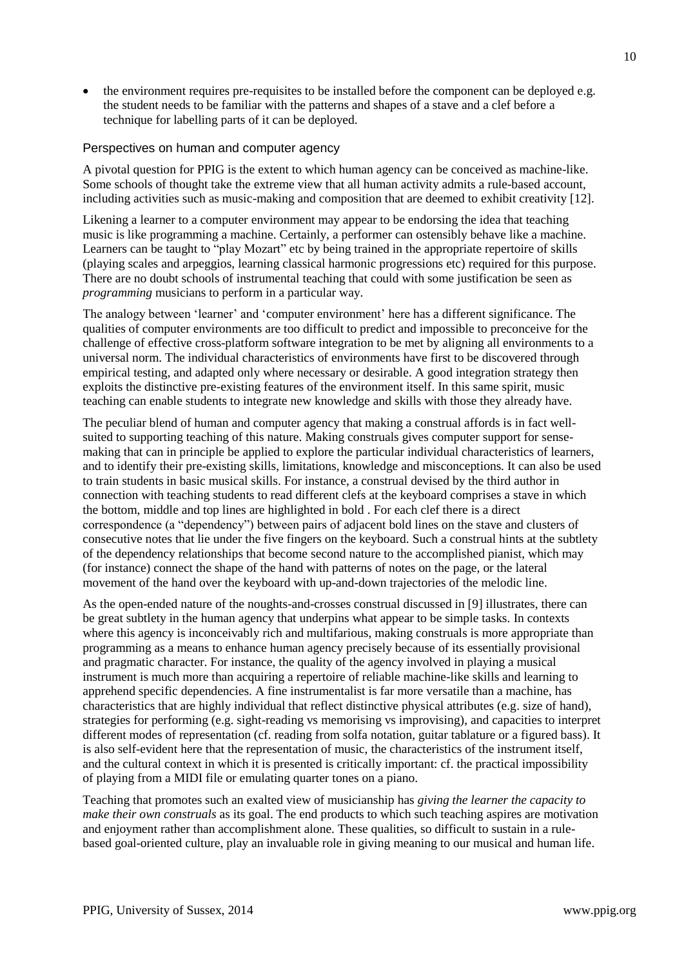• the environment requires pre-requisites to be installed before the component can be deployed e.g. the student needs to be familiar with the patterns and shapes of a stave and a clef before a technique for labelling parts of it can be deployed.

#### Perspectives on human and computer agency

A pivotal question for PPIG is the extent to which human agency can be conceived as machine-like. Some schools of thought take the extreme view that all human activity admits a rule-based account, including activities such as music-making and composition that are deemed to exhibit creativity [12].

Likening a learner to a computer environment may appear to be endorsing the idea that teaching music is like programming a machine. Certainly, a performer can ostensibly behave like a machine. Learners can be taught to "play Mozart" etc by being trained in the appropriate repertoire of skills (playing scales and arpeggios, learning classical harmonic progressions etc) required for this purpose. There are no doubt schools of instrumental teaching that could with some justification be seen as *programming* musicians to perform in a particular way.

The analogy between 'learner' and 'computer environment' here has a different significance. The qualities of computer environments are too difficult to predict and impossible to preconceive for the challenge of effective cross-platform software integration to be met by aligning all environments to a universal norm. The individual characteristics of environments have first to be discovered through empirical testing, and adapted only where necessary or desirable. A good integration strategy then exploits the distinctive pre-existing features of the environment itself. In this same spirit, music teaching can enable students to integrate new knowledge and skills with those they already have.

The peculiar blend of human and computer agency that making a construal affords is in fact wellsuited to supporting teaching of this nature. Making construals gives computer support for sensemaking that can in principle be applied to explore the particular individual characteristics of learners, and to identify their pre-existing skills, limitations, knowledge and misconceptions. It can also be used to train students in basic musical skills. For instance, a construal devised by the third author in connection with teaching students to read different clefs at the keyboard comprises a stave in which the bottom, middle and top lines are highlighted in bold . For each clef there is a direct correspondence (a "dependency") between pairs of adjacent bold lines on the stave and clusters of consecutive notes that lie under the five fingers on the keyboard. Such a construal hints at the subtlety of the dependency relationships that become second nature to the accomplished pianist, which may (for instance) connect the shape of the hand with patterns of notes on the page, or the lateral movement of the hand over the keyboard with up-and-down trajectories of the melodic line.

As the open-ended nature of the noughts-and-crosses construal discussed in [9] illustrates, there can be great subtlety in the human agency that underpins what appear to be simple tasks. In contexts where this agency is inconceivably rich and multifarious, making construals is more appropriate than programming as a means to enhance human agency precisely because of its essentially provisional and pragmatic character. For instance, the quality of the agency involved in playing a musical instrument is much more than acquiring a repertoire of reliable machine-like skills and learning to apprehend specific dependencies. A fine instrumentalist is far more versatile than a machine, has characteristics that are highly individual that reflect distinctive physical attributes (e.g. size of hand), strategies for performing (e.g. sight-reading vs memorising vs improvising), and capacities to interpret different modes of representation (cf. reading from solfa notation, guitar tablature or a figured bass). It is also self-evident here that the representation of music, the characteristics of the instrument itself, and the cultural context in which it is presented is critically important: cf. the practical impossibility of playing from a MIDI file or emulating quarter tones on a piano.

Teaching that promotes such an exalted view of musicianship has *giving the learner the capacity to make their own construals* as its goal. The end products to which such teaching aspires are motivation and enjoyment rather than accomplishment alone. These qualities, so difficult to sustain in a rulebased goal-oriented culture, play an invaluable role in giving meaning to our musical and human life.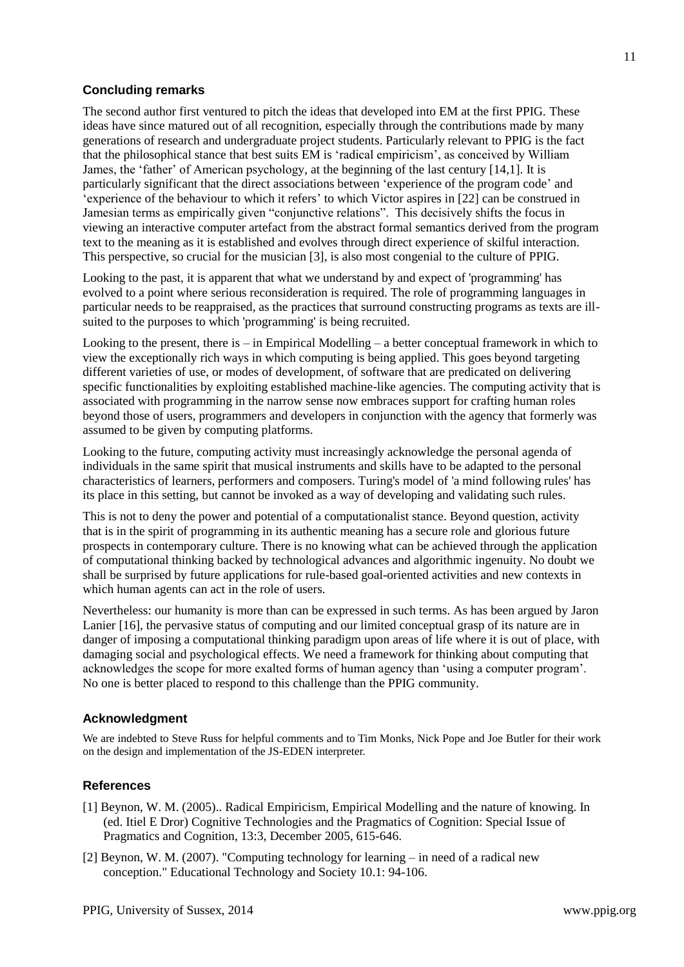## **Concluding remarks**

The second author first ventured to pitch the ideas that developed into EM at the first PPIG. These ideas have since matured out of all recognition, especially through the contributions made by many generations of research and undergraduate project students. Particularly relevant to PPIG is the fact that the philosophical stance that best suits EM is 'radical empiricism', as conceived by William James, the 'father' of American psychology, at the beginning of the last century [14,1]. It is particularly significant that the direct associations between 'experience of the program code' and 'experience of the behaviour to which it refers' to which Victor aspires in [22] can be construed in Jamesian terms as empirically given "conjunctive relations". This decisively shifts the focus in viewing an interactive computer artefact from the abstract formal semantics derived from the program text to the meaning as it is established and evolves through direct experience of skilful interaction. This perspective, so crucial for the musician [3], is also most congenial to the culture of PPIG.

Looking to the past, it is apparent that what we understand by and expect of 'programming' has evolved to a point where serious reconsideration is required. The role of programming languages in particular needs to be reappraised, as the practices that surround constructing programs as texts are illsuited to the purposes to which 'programming' is being recruited.

Looking to the present, there is  $-$  in Empirical Modelling  $-$  a better conceptual framework in which to view the exceptionally rich ways in which computing is being applied. This goes beyond targeting different varieties of use, or modes of development, of software that are predicated on delivering specific functionalities by exploiting established machine-like agencies. The computing activity that is associated with programming in the narrow sense now embraces support for crafting human roles beyond those of users, programmers and developers in conjunction with the agency that formerly was assumed to be given by computing platforms.

Looking to the future, computing activity must increasingly acknowledge the personal agenda of individuals in the same spirit that musical instruments and skills have to be adapted to the personal characteristics of learners, performers and composers. Turing's model of 'a mind following rules' has its place in this setting, but cannot be invoked as a way of developing and validating such rules.

This is not to deny the power and potential of a computationalist stance. Beyond question, activity that is in the spirit of programming in its authentic meaning has a secure role and glorious future prospects in contemporary culture. There is no knowing what can be achieved through the application of computational thinking backed by technological advances and algorithmic ingenuity. No doubt we shall be surprised by future applications for rule-based goal-oriented activities and new contexts in which human agents can act in the role of users.

Nevertheless: our humanity is more than can be expressed in such terms. As has been argued by Jaron Lanier [16], the pervasive status of computing and our limited conceptual grasp of its nature are in danger of imposing a computational thinking paradigm upon areas of life where it is out of place, with damaging social and psychological effects. We need a framework for thinking about computing that acknowledges the scope for more exalted forms of human agency than 'using a computer program'. No one is better placed to respond to this challenge than the PPIG community.

#### **Acknowledgment**

We are indebted to Steve Russ for helpful comments and to Tim Monks, Nick Pope and Joe Butler for their work on the design and implementation of the JS-EDEN interpreter.

#### **References**

- [1] Beynon, W. M. (2005).. Radical Empiricism, Empirical Modelling and the nature of knowing. In (ed. Itiel E Dror) Cognitive Technologies and the Pragmatics of Cognition: Special Issue of Pragmatics and Cognition, 13:3, December 2005, 615-646.
- [2] Beynon, W. M. (2007). "Computing technology for learning in need of a radical new conception." Educational Technology and Society 10.1: 94-106.